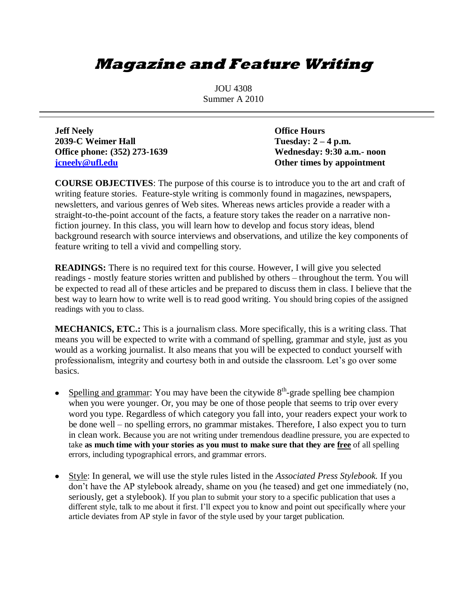## **Magazine and Feature Writing**

JOU 4308 Summer A 2010

**Jeff Neely Office Hours 2039-C Weimer Hall Tuesday: 2 – 4 p.m. Office phone: (352) 273-1639 Wednesday: 9:30 a.m.- noon [jcneely@ufl.edu](mailto:jcneely@ufl.edu) Other times by appointment**

**COURSE OBJECTIVES**: The purpose of this course is to introduce you to the art and craft of writing feature stories. Feature-style writing is commonly found in magazines, newspapers, newsletters, and various genres of Web sites. Whereas news articles provide a reader with a straight-to-the-point account of the facts, a feature story takes the reader on a narrative nonfiction journey. In this class, you will learn how to develop and focus story ideas, blend background research with source interviews and observations, and utilize the key components of feature writing to tell a vivid and compelling story.

**READINGS:** There is no required text for this course. However, I will give you selected readings - mostly feature stories written and published by others – throughout the term. You will be expected to read all of these articles and be prepared to discuss them in class. I believe that the best way to learn how to write well is to read good writing. You should bring copies of the assigned readings with you to class.

**MECHANICS, ETC.:** This is a journalism class. More specifically, this is a writing class. That means you will be expected to write with a command of spelling, grammar and style, just as you would as a working journalist. It also means that you will be expected to conduct yourself with professionalism, integrity and courtesy both in and outside the classroom. Let's go over some basics.

- Spelling and grammar: You may have been the citywide  $8<sup>th</sup>$ -grade spelling bee champion when you were younger. Or, you may be one of those people that seems to trip over every word you type. Regardless of which category you fall into, your readers expect your work to be done well – no spelling errors, no grammar mistakes. Therefore, I also expect you to turn in clean work. Because you are not writing under tremendous deadline pressure, you are expected to take **as much time with your stories as you must to make sure that they are free** of all spelling errors, including typographical errors, and grammar errors.
- Style: In general, we will use the style rules listed in the *Associated Press Stylebook.* If you don't have the AP stylebook already, shame on you (he teased) and get one immediately (no, seriously, get a stylebook). If you plan to submit your story to a specific publication that uses a different style, talk to me about it first. I'll expect you to know and point out specifically where your article deviates from AP style in favor of the style used by your target publication.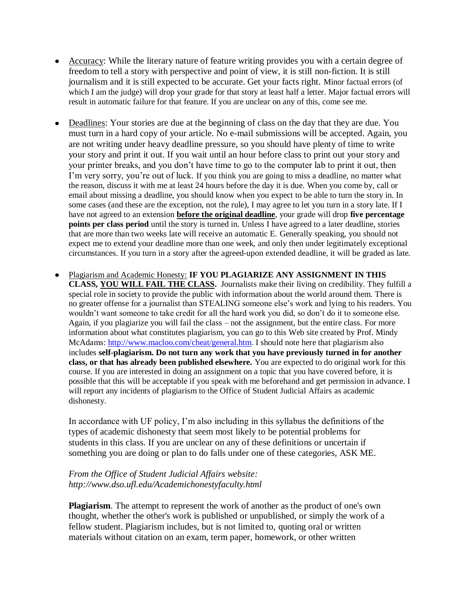- Accuracy: While the literary nature of feature writing provides you with a certain degree of freedom to tell a story with perspective and point of view, it is still non-fiction. It is still journalism and it is still expected to be accurate. Get your facts right. Minor factual errors (of which I am the judge) will drop your grade for that story at least half a letter. Major factual errors will result in automatic failure for that feature. If you are unclear on any of this, come see me.
- Deadlines: Your stories are due at the beginning of class on the day that they are due. You must turn in a hard copy of your article. No e-mail submissions will be accepted. Again, you are not writing under heavy deadline pressure, so you should have plenty of time to write your story and print it out. If you wait until an hour before class to print out your story and your printer breaks, and you don't have time to go to the computer lab to print it out, then I'm very sorry, you're out of luck. If you think you are going to miss a deadline, no matter what the reason, discuss it with me at least 24 hours before the day it is due. When you come by, call or email about missing a deadline, you should know when you expect to be able to turn the story in. In some cases (and these are the exception, not the rule), I may agree to let you turn in a story late. If I have not agreed to an extension **before the original deadline**, your grade will drop **five percentage points per class period** until the story is turned in. Unless I have agreed to a later deadline, stories that are more than two weeks late will receive an automatic E. Generally speaking, you should not expect me to extend your deadline more than one week, and only then under legitimately exceptional circumstances. If you turn in a story after the agreed-upon extended deadline, it will be graded as late.
- Plagiarism and Academic Honesty: **IF YOU PLAGIARIZE ANY ASSIGNMENT IN THIS CLASS, YOU WILL FAIL THE CLASS.** Journalists make their living on credibility. They fulfill a special role in society to provide the public with information about the world around them. There is no greater offense for a journalist than STEALING someone else's work and lying to his readers. You wouldn't want someone to take credit for all the hard work you did, so don't do it to someone else. Again, if you plagiarize you will fail the class – not the assignment, but the entire class. For more information about what constitutes plagiarism, you can go to this Web site created by Prof. Mindy McAdams:<http://www.macloo.com/cheat/general.htm>. I should note here that plagiarism also includes **self-plagiarism. Do not turn any work that you have previously turned in for another class, or that has already been published elsewhere.** You are expected to do original work for this course. If you are interested in doing an assignment on a topic that you have covered before, it is possible that this will be acceptable if you speak with me beforehand and get permission in advance. I will report any incidents of plagiarism to the Office of Student Judicial Affairs as academic dishonesty.

In accordance with UF policy, I'm also including in this syllabus the definitions of the types of academic dishonesty that seem most likely to be potential problems for students in this class. If you are unclear on any of these definitions or uncertain if something you are doing or plan to do falls under one of these categories, ASK ME.

## *From the Office of Student Judicial Affairs website: http://www.dso.ufl.edu/Academichonestyfaculty.html*

**Plagiarism**. The attempt to represent the work of another as the product of one's own thought, whether the other's work is published or unpublished, or simply the work of a fellow student. Plagiarism includes, but is not limited to, quoting oral or written materials without citation on an exam, term paper, homework, or other written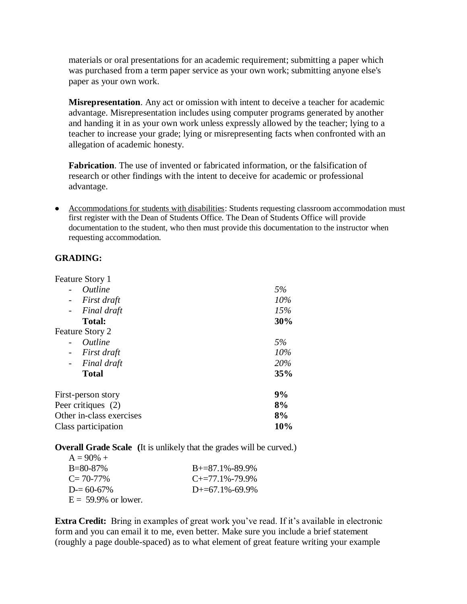materials or oral presentations for an academic requirement; submitting a paper which was purchased from a term paper service as your own work; submitting anyone else's paper as your own work.

**Misrepresentation**. Any act or omission with intent to deceive a teacher for academic advantage. Misrepresentation includes using computer programs generated by another and handing it in as your own work unless expressly allowed by the teacher; lying to a teacher to increase your grade; lying or misrepresenting facts when confronted with an allegation of academic honesty.

**Fabrication**. The use of invented or fabricated information, or the falsification of research or other findings with the intent to deceive for academic or professional advantage.

• Accommodations for students with disabilities: Students requesting classroom accommodation must first register with the Dean of Students Office. The Dean of Students Office will provide documentation to the student, who then must provide this documentation to the instructor when requesting accommodation.

## **GRADING:**

 $\mathbf{r}$ 

| Feature Story 1                         |     |
|-----------------------------------------|-----|
| <i><u><b>Outline</b></u></i>            | 5%  |
| First draft                             | 10% |
| Final draft<br>$\sim$                   | 15% |
| <b>Total:</b>                           | 30% |
| <b>Feature Story 2</b>                  |     |
| <i><u><b>Outline</b></u></i>            | 5%  |
| First draft<br>$\overline{\phantom{a}}$ | 10% |
| Final draft<br>$\blacksquare$           | 20% |
| <b>Total</b>                            | 35% |
| First-person story                      | 9%  |
| Peer critiques (2)                      | 8%  |
| Other in-class exercises                | 8%  |
| Class participation                     | 10% |
|                                         |     |

**Overall Grade Scale (**It is unlikely that the grades will be curved.)

| $A = 90\% +$           |                             |
|------------------------|-----------------------------|
| $B = 80 - 87\%$        | $B = 87.1\% - 89.9\%$       |
| $C = 70-77\%$          | $C_{\pm} = 77.1\% - 79.9\%$ |
| $D = 60-67\%$          | $D_{+}=67.1\% - 69.9\%$     |
| $E = 59.9\%$ or lower. |                             |

**Extra Credit:** Bring in examples of great work you've read. If it's available in electronic form and you can email it to me, even better. Make sure you include a brief statement (roughly a page double-spaced) as to what element of great feature writing your example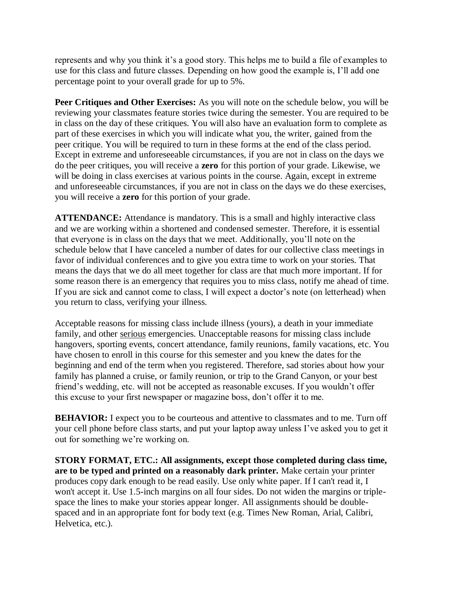represents and why you think it's a good story. This helps me to build a file of examples to use for this class and future classes. Depending on how good the example is, I'll add one percentage point to your overall grade for up to 5%.

**Peer Critiques and Other Exercises:** As you will note on the schedule below, you will be reviewing your classmates feature stories twice during the semester. You are required to be in class on the day of these critiques. You will also have an evaluation form to complete as part of these exercises in which you will indicate what you, the writer, gained from the peer critique. You will be required to turn in these forms at the end of the class period. Except in extreme and unforeseeable circumstances, if you are not in class on the days we do the peer critiques, you will receive a **zero** for this portion of your grade. Likewise, we will be doing in class exercises at various points in the course. Again, except in extreme and unforeseeable circumstances, if you are not in class on the days we do these exercises, you will receive a **zero** for this portion of your grade.

**ATTENDANCE:** Attendance is mandatory. This is a small and highly interactive class and we are working within a shortened and condensed semester. Therefore, it is essential that everyone is in class on the days that we meet. Additionally, you'll note on the schedule below that I have canceled a number of dates for our collective class meetings in favor of individual conferences and to give you extra time to work on your stories. That means the days that we do all meet together for class are that much more important. If for some reason there is an emergency that requires you to miss class, notify me ahead of time. If you are sick and cannot come to class, I will expect a doctor's note (on letterhead) when you return to class, verifying your illness.

Acceptable reasons for missing class include illness (yours), a death in your immediate family, and other serious emergencies. Unacceptable reasons for missing class include hangovers, sporting events, concert attendance, family reunions, family vacations, etc. You have chosen to enroll in this course for this semester and you knew the dates for the beginning and end of the term when you registered. Therefore, sad stories about how your family has planned a cruise, or family reunion, or trip to the Grand Canyon, or your best friend's wedding, etc. will not be accepted as reasonable excuses. If you wouldn't offer this excuse to your first newspaper or magazine boss, don't offer it to me.

**BEHAVIOR:** I expect you to be courteous and attentive to classmates and to me. Turn off your cell phone before class starts, and put your laptop away unless I've asked you to get it out for something we're working on.

**STORY FORMAT, ETC.: All assignments, except those completed during class time, are to be typed and printed on a reasonably dark printer.** Make certain your printer produces copy dark enough to be read easily. Use only white paper. If I can't read it, I won't accept it. Use 1.5-inch margins on all four sides. Do not widen the margins or triplespace the lines to make your stories appear longer. All assignments should be doublespaced and in an appropriate font for body text (e.g. Times New Roman, Arial, Calibri, Helvetica, etc.).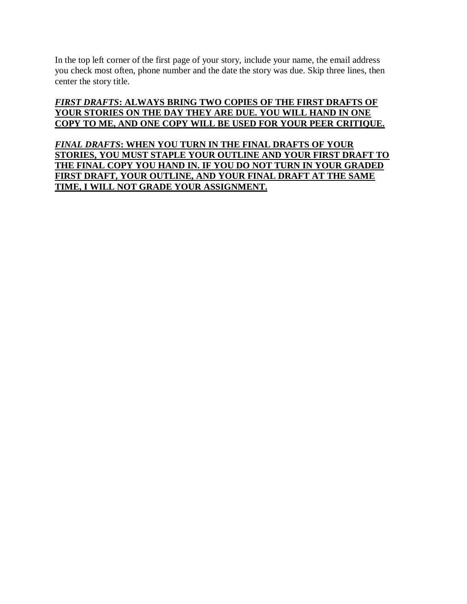In the top left corner of the first page of your story, include your name, the email address you check most often, phone number and the date the story was due. Skip three lines, then center the story title.

## *FIRST DRAFTS***: ALWAYS BRING TWO COPIES OF THE FIRST DRAFTS OF YOUR STORIES ON THE DAY THEY ARE DUE. YOU WILL HAND IN ONE COPY TO ME, AND ONE COPY WILL BE USED FOR YOUR PEER CRITIQUE.**

*FINAL DRAFTS***: WHEN YOU TURN IN THE FINAL DRAFTS OF YOUR STORIES, YOU MUST STAPLE YOUR OUTLINE AND YOUR FIRST DRAFT TO THE FINAL COPY YOU HAND IN. IF YOU DO NOT TURN IN YOUR GRADED FIRST DRAFT, YOUR OUTLINE, AND YOUR FINAL DRAFT AT THE SAME TIME, I WILL NOT GRADE YOUR ASSIGNMENT.**